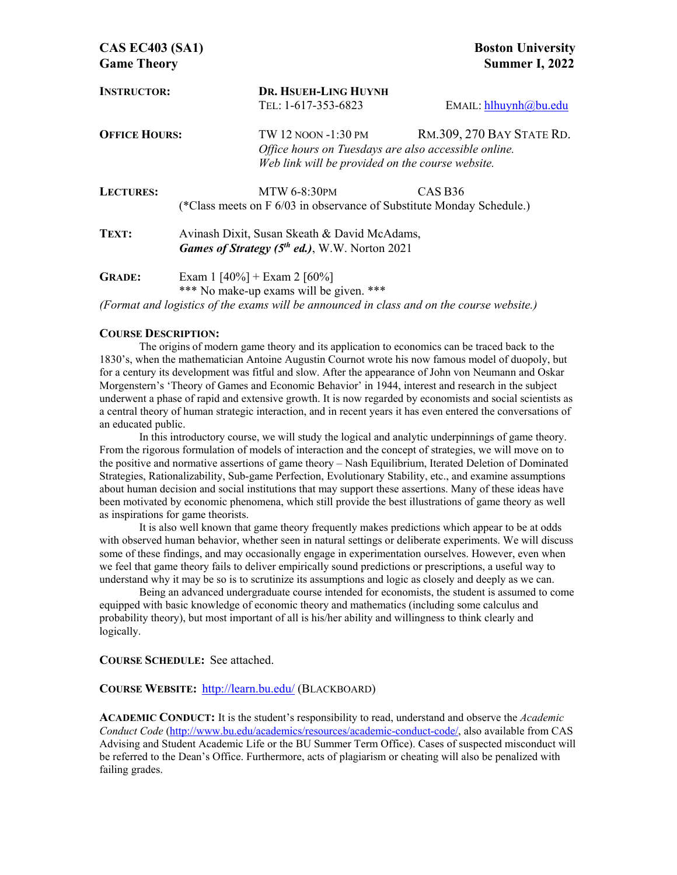| <b>INSTRUCTOR:</b>   |                                                                       | <b>DR. HSUEH-LING HUYNH</b>                          |                           |  |  |  |
|----------------------|-----------------------------------------------------------------------|------------------------------------------------------|---------------------------|--|--|--|
|                      |                                                                       | TEL: 1-617-353-6823                                  | EMAIL: hlhuynh@bu.edu     |  |  |  |
| <b>OFFICE HOURS:</b> |                                                                       | TW 12 NOON -1:30 PM                                  | RM.309, 270 BAY STATE RD. |  |  |  |
|                      |                                                                       | Office hours on Tuesdays are also accessible online. |                           |  |  |  |
|                      |                                                                       | Web link will be provided on the course website.     |                           |  |  |  |
| <b>LECTURES:</b>     |                                                                       | <b>MTW 6-8:30PM</b>                                  | CAS B <sub>36</sub>       |  |  |  |
|                      | (*Class meets on F 6/03 in observance of Substitute Monday Schedule.) |                                                      |                           |  |  |  |
| TEXT:                | Avinash Dixit, Susan Skeath & David McAdams,                          |                                                      |                           |  |  |  |
|                      | <b>Games of Strategy (5th ed.), W.W. Norton 2021</b>                  |                                                      |                           |  |  |  |
| <b>GRADE:</b>        | Exam 1 [40%] + Exam 2 [60%]                                           |                                                      |                           |  |  |  |
|                      | *** No make-up exams will be given.                                   |                                                      |                           |  |  |  |

*(Format and logistics of the exams will be announced in class and on the course website.)*

#### **COURSE DESCRIPTION:**

 The origins of modern game theory and its application to economics can be traced back to the 1830's, when the mathematician Antoine Augustin Cournot wrote his now famous model of duopoly, but for a century its development was fitful and slow. After the appearance of John von Neumann and Oskar Morgenstern's 'Theory of Games and Economic Behavior' in 1944, interest and research in the subject underwent a phase of rapid and extensive growth. It is now regarded by economists and social scientists as a central theory of human strategic interaction, and in recent years it has even entered the conversations of an educated public.

 In this introductory course, we will study the logical and analytic underpinnings of game theory. From the rigorous formulation of models of interaction and the concept of strategies, we will move on to the positive and normative assertions of game theory – Nash Equilibrium, Iterated Deletion of Dominated Strategies, Rationalizability, Sub-game Perfection, Evolutionary Stability, etc., and examine assumptions about human decision and social institutions that may support these assertions. Many of these ideas have been motivated by economic phenomena, which still provide the best illustrations of game theory as well as inspirations for game theorists.

 It is also well known that game theory frequently makes predictions which appear to be at odds with observed human behavior, whether seen in natural settings or deliberate experiments. We will discuss some of these findings, and may occasionally engage in experimentation ourselves. However, even when we feel that game theory fails to deliver empirically sound predictions or prescriptions, a useful way to understand why it may be so is to scrutinize its assumptions and logic as closely and deeply as we can.

 Being an advanced undergraduate course intended for economists, the student is assumed to come equipped with basic knowledge of economic theory and mathematics (including some calculus and probability theory), but most important of all is his/her ability and willingness to think clearly and logically.

**COURSE SCHEDULE:** See attached.

### **COURSE WEBSITE:** http://learn.bu.edu/ (BLACKBOARD)

**ACADEMIC CONDUCT:** It is the student's responsibility to read, understand and observe the *Academic Conduct Code* (http://www.bu.edu/academics/resources/academic-conduct-code/, also available from CAS Advising and Student Academic Life or the BU Summer Term Office). Cases of suspected misconduct will be referred to the Dean's Office. Furthermore, acts of plagiarism or cheating will also be penalized with failing grades.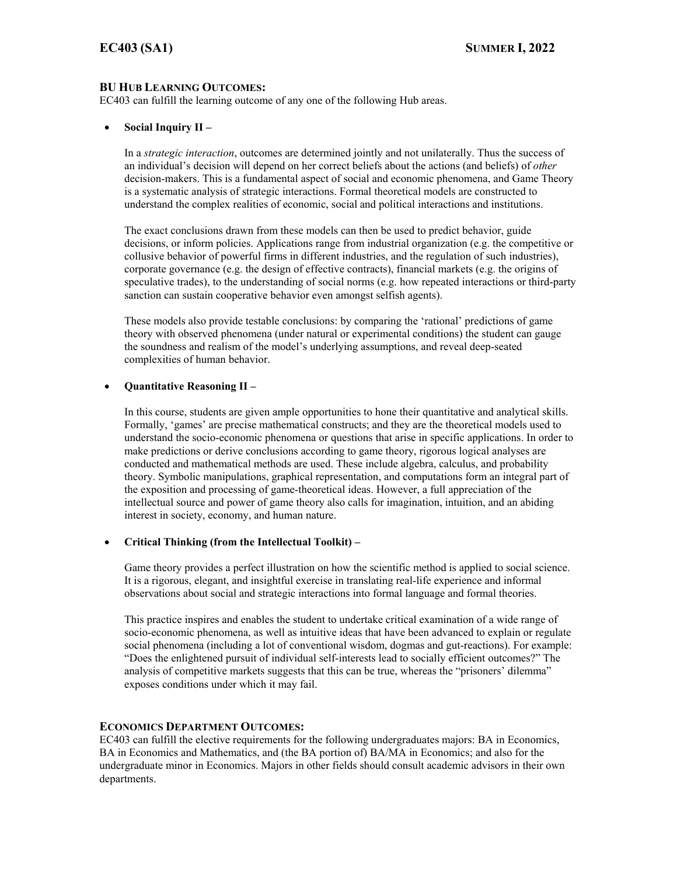### **BU HUB LEARNING OUTCOMES:**

EC403 can fulfill the learning outcome of any one of the following Hub areas.

### **Social Inquiry II –**

In a *strategic interaction*, outcomes are determined jointly and not unilaterally. Thus the success of an individual's decision will depend on her correct beliefs about the actions (and beliefs) of *other*  decision-makers. This is a fundamental aspect of social and economic phenomena, and Game Theory is a systematic analysis of strategic interactions. Formal theoretical models are constructed to understand the complex realities of economic, social and political interactions and institutions.

The exact conclusions drawn from these models can then be used to predict behavior, guide decisions, or inform policies. Applications range from industrial organization (e.g. the competitive or collusive behavior of powerful firms in different industries, and the regulation of such industries), corporate governance (e.g. the design of effective contracts), financial markets (e.g. the origins of speculative trades), to the understanding of social norms (e.g. how repeated interactions or third-party sanction can sustain cooperative behavior even amongst selfish agents).

These models also provide testable conclusions: by comparing the 'rational' predictions of game theory with observed phenomena (under natural or experimental conditions) the student can gauge the soundness and realism of the model's underlying assumptions, and reveal deep-seated complexities of human behavior.

### **Quantitative Reasoning II –**

In this course, students are given ample opportunities to hone their quantitative and analytical skills. Formally, 'games' are precise mathematical constructs; and they are the theoretical models used to understand the socio-economic phenomena or questions that arise in specific applications. In order to make predictions or derive conclusions according to game theory, rigorous logical analyses are conducted and mathematical methods are used. These include algebra, calculus, and probability theory. Symbolic manipulations, graphical representation, and computations form an integral part of the exposition and processing of game-theoretical ideas. However, a full appreciation of the intellectual source and power of game theory also calls for imagination, intuition, and an abiding interest in society, economy, and human nature.

### **Critical Thinking (from the Intellectual Toolkit) –**

Game theory provides a perfect illustration on how the scientific method is applied to social science. It is a rigorous, elegant, and insightful exercise in translating real-life experience and informal observations about social and strategic interactions into formal language and formal theories.

This practice inspires and enables the student to undertake critical examination of a wide range of socio-economic phenomena, as well as intuitive ideas that have been advanced to explain or regulate social phenomena (including a lot of conventional wisdom, dogmas and gut-reactions). For example: "Does the enlightened pursuit of individual self-interests lead to socially efficient outcomes?" The analysis of competitive markets suggests that this can be true, whereas the "prisoners' dilemma" exposes conditions under which it may fail.

### **ECONOMICS DEPARTMENT OUTCOMES:**

EC403 can fulfill the elective requirements for the following undergraduates majors: BA in Economics, BA in Economics and Mathematics, and (the BA portion of) BA/MA in Economics; and also for the undergraduate minor in Economics. Majors in other fields should consult academic advisors in their own departments.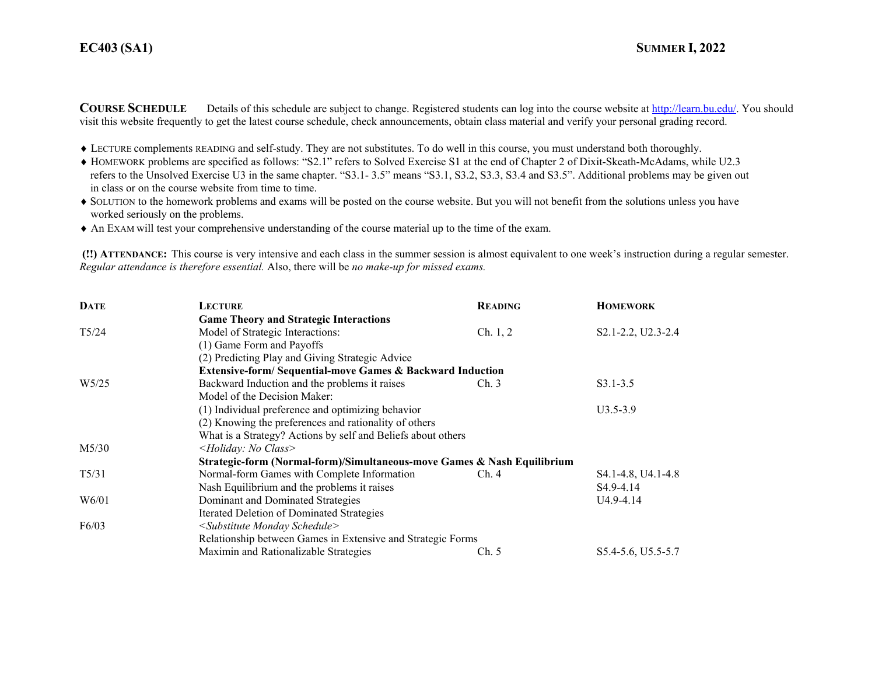## **EC403**

**COURSE SCHEDULE** Details of this schedule are subject to change. Registered students can log into the course website at http://learn.bu.edu/. You should visit this website frequently to get the latest course schedule, check announcements, obtain class material and verify your personal grading record.

- LECTURE complements READING and self-study. They are not substitutes. To do well in this course, you must understand both thoroughly.
- HOMEWORK problems are specified as follows: "S2.1" refers to Solved Exercise S1 at the end of Chapter 2 of Dixit-Skeath-McAdams, while U2.3 refers to the Unsolved Exercise U3 in the same chapter. "S3.1- 3.5" means "S3.1, S3.2, S3.3, S3.4 and S3.5". Additional problems may be given out in class or on the course website from time to time.
- SOLUTION to the homework problems and exams will be posted on the course website. But you will not benefit from the solutions unless you have worked seriously on the problems.
- An EXAM will test your comprehensive understanding of the course material up to the time of the exam.

 **(!!) ATTENDANCE:** This course is very intensive and each class in the summer session is almost equivalent to one week's instruction during a regular semester. *Regular attendance is therefore essential.* Also, there will be *no make-up for missed exams.* 

| <b>DATE</b>       | <b>LECTURE</b>                                                          | <b>READING</b> | <b>HOMEWORK</b>        |  |  |  |
|-------------------|-------------------------------------------------------------------------|----------------|------------------------|--|--|--|
|                   | <b>Game Theory and Strategic Interactions</b>                           |                |                        |  |  |  |
| T5/24             | Model of Strategic Interactions:                                        | Ch. 1, 2       | S2.1-2.2, U2.3-2.4     |  |  |  |
|                   | (1) Game Form and Payoffs                                               |                |                        |  |  |  |
|                   | (2) Predicting Play and Giving Strategic Advice                         |                |                        |  |  |  |
|                   | <b>Extensive-form/Sequential-move Games &amp; Backward Induction</b>    |                |                        |  |  |  |
| W <sub>5/25</sub> | Backward Induction and the problems it raises                           | Ch.3           | $S3.1 - 3.5$           |  |  |  |
|                   | Model of the Decision Maker:                                            |                |                        |  |  |  |
|                   | (1) Individual preference and optimizing behavior                       | $U3.5 - 3.9$   |                        |  |  |  |
|                   | (2) Knowing the preferences and rationality of others                   |                |                        |  |  |  |
|                   | What is a Strategy? Actions by self and Beliefs about others            |                |                        |  |  |  |
| M5/30             | <holiday: class="" no=""></holiday:>                                    |                |                        |  |  |  |
|                   | Strategic-form (Normal-form)/Simultaneous-move Games & Nash Equilibrium |                |                        |  |  |  |
| $T\frac{5}{3}1$   | Normal-form Games with Complete Information                             | Ch.4           | S4.1-4.8, U4.1-4.8     |  |  |  |
|                   | Nash Equilibrium and the problems it raises                             |                | S <sub>4.9</sub> -4.14 |  |  |  |
| W6/01             | Dominant and Dominated Strategies                                       |                | U4.9-4.14              |  |  |  |
|                   | Iterated Deletion of Dominated Strategies                               |                |                        |  |  |  |
| F6/03             | <substitute monday="" schedule=""></substitute>                         |                |                        |  |  |  |
|                   | Relationship between Games in Extensive and Strategic Forms             |                |                        |  |  |  |
|                   | Maximin and Rationalizable Strategies                                   | Ch. 5          | S5.4-5.6, U5.5-5.7     |  |  |  |